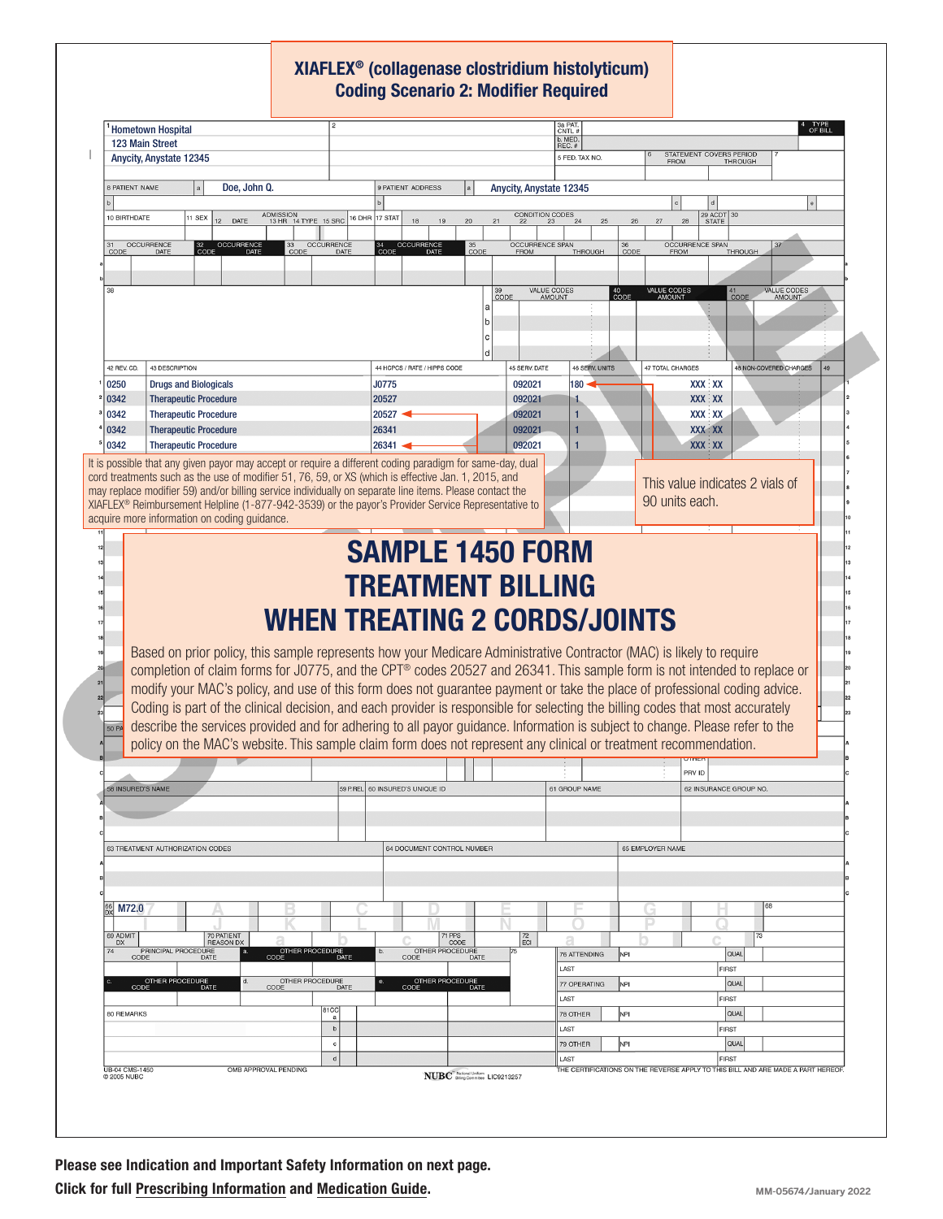## XIAFLEX® (collagenase clostridium histolyticum) Coding Scenario 2: Modifier Required

|                                                                                                           |                                                                                                                                |                                          |                           |                                        |                                 |                                                  |                                       | b. MED.                                                                          |                  |                         |                                 |                |                              |    |
|-----------------------------------------------------------------------------------------------------------|--------------------------------------------------------------------------------------------------------------------------------|------------------------------------------|---------------------------|----------------------------------------|---------------------------------|--------------------------------------------------|---------------------------------------|----------------------------------------------------------------------------------|------------------|-------------------------|---------------------------------|----------------|------------------------------|----|
| 123 Main Street<br>Anycity, Anystate 12345                                                                |                                                                                                                                |                                          |                           |                                        |                                 |                                                  |                                       | REC. #<br>5 FED. TAX NO.                                                         |                  |                         | STATEMENT COVERS PERIOD         |                |                              |    |
|                                                                                                           |                                                                                                                                |                                          |                           |                                        |                                 |                                                  |                                       |                                                                                  |                  | <b>FROM</b>             |                                 | <b>THROUGH</b> |                              |    |
| 8 PATIENT NAME                                                                                            | Doe, John Q.                                                                                                                   |                                          |                           |                                        | 9 PATIENT ADDRESS               |                                                  | Anycity, Anystate 12345               |                                                                                  |                  |                         |                                 |                |                              |    |
|                                                                                                           |                                                                                                                                |                                          |                           |                                        |                                 |                                                  |                                       |                                                                                  |                  |                         |                                 |                |                              |    |
| 10 BIRTHDATE                                                                                              | 1 SEX<br>DATE<br>12                                                                                                            | <b>ADMISSION</b><br>13 HR 14 TYPE 15 SRC |                           | 16 DHR 17 STAT                         | 18<br>19                        | 20                                               | CONDITION CODES<br>21                 | 24<br>25                                                                         | 26               | 28<br>27                | 29 ACDT 30<br><b>STATE</b>      |                |                              |    |
|                                                                                                           |                                                                                                                                |                                          |                           |                                        |                                 |                                                  |                                       |                                                                                  |                  |                         |                                 |                |                              |    |
| OCCURRENCE<br>CODE                                                                                        | <b>OCCURRENCE</b><br>DATE<br>DATE                                                                                              | 33<br>CODE                               | <b>OCCURRENCE</b><br>DATE | 34<br>CODE                             | <b>OCCURRENCE</b>               | $\frac{35}{\text{CODE}}$                         | <b>OCCURRENCE SPAN</b><br><b>FROM</b> | <b>THROUGH</b>                                                                   | CODE             | <b>FROM</b>             | <b>OCCURRENCE SPAN</b>          | <b>THROUGH</b> |                              |    |
|                                                                                                           |                                                                                                                                |                                          |                           |                                        |                                 |                                                  |                                       |                                                                                  |                  |                         |                                 |                |                              |    |
|                                                                                                           |                                                                                                                                |                                          |                           |                                        |                                 |                                                  |                                       |                                                                                  |                  |                         |                                 |                |                              |    |
| 38                                                                                                        |                                                                                                                                |                                          |                           |                                        |                                 |                                                  | 39<br>CODE                            | VALUE CODES<br><b>AMOUNT</b>                                                     | 40<br>CODE       | VALUE CODES             |                                 | $41$<br>CODE   | VALUE CODES<br><b>AMOUNT</b> |    |
|                                                                                                           |                                                                                                                                |                                          |                           |                                        |                                 | a                                                |                                       |                                                                                  |                  |                         |                                 |                |                              |    |
|                                                                                                           |                                                                                                                                |                                          |                           |                                        |                                 |                                                  |                                       |                                                                                  |                  |                         |                                 |                |                              |    |
|                                                                                                           |                                                                                                                                |                                          |                           |                                        |                                 | C                                                |                                       |                                                                                  |                  |                         |                                 |                |                              |    |
|                                                                                                           |                                                                                                                                |                                          |                           |                                        |                                 | d                                                | 45 SERV. DATE                         | <b>46 SERV. UNITS</b>                                                            |                  | <b>47 TOTAL CHARGES</b> |                                 |                | 48 NON-COVERED CHARGES       | 49 |
| 42 REV. CD.<br>43 DESCRIPTION                                                                             |                                                                                                                                |                                          |                           | 44 HCPCS / RATE / HIPPS CODE           |                                 |                                                  |                                       | 180                                                                              |                  |                         |                                 |                |                              |    |
| 0250<br><b>Drugs and Biologicals</b>                                                                      |                                                                                                                                |                                          |                           | J0775                                  |                                 |                                                  | 092021                                |                                                                                  |                  |                         | <b>XXX XX</b>                   |                |                              |    |
| 0342<br>0342                                                                                              | <b>Therapeutic Procedure</b>                                                                                                   |                                          |                           | 20527                                  |                                 |                                                  | 092021                                | 1                                                                                |                  |                         | <b>XXX XX</b><br><b>XXX XX</b>  |                |                              |    |
| <b>Therapeutic Procedure</b><br>0342<br><b>Therapeutic Procedure</b>                                      |                                                                                                                                |                                          |                           | $20527 -$<br>092021<br>26341<br>092021 |                                 |                                                  |                                       | 1                                                                                |                  |                         | <b>XXX XX</b>                   |                |                              |    |
| 0342                                                                                                      | <b>Therapeutic Procedure</b>                                                                                                   |                                          |                           | $26341 -$                              |                                 |                                                  | 092021                                | 1                                                                                |                  |                         | <b>XXX XX</b>                   |                |                              |    |
|                                                                                                           | It is possible that any given payor may accept or require a different coding paradigm for same-day, dual                       |                                          |                           |                                        |                                 |                                                  |                                       |                                                                                  |                  |                         |                                 |                |                              |    |
|                                                                                                           | cord treatments such as the use of modifier 51, 76, 59, or XS (which is effective Jan. 1, 2015, and                            |                                          |                           |                                        |                                 |                                                  |                                       |                                                                                  |                  |                         |                                 |                |                              |    |
|                                                                                                           | may replace modifier 59) and/or billing service individually on separate line items. Please contact the                        |                                          |                           |                                        |                                 |                                                  |                                       |                                                                                  |                  |                         | This value indicates 2 vials of |                |                              |    |
|                                                                                                           | XIAFLEX <sup>®</sup> Reimbursement Helpline (1-877-942-3539) or the payor's Provider Service Representative to                 |                                          |                           |                                        |                                 |                                                  |                                       |                                                                                  |                  | 90 units each.          |                                 |                |                              |    |
|                                                                                                           | acquire more information on coding guidance.                                                                                   |                                          |                           |                                        |                                 |                                                  |                                       |                                                                                  |                  |                         |                                 |                |                              |    |
|                                                                                                           |                                                                                                                                |                                          |                           |                                        |                                 |                                                  |                                       |                                                                                  |                  |                         |                                 |                |                              |    |
|                                                                                                           |                                                                                                                                |                                          |                           |                                        |                                 |                                                  | <b>SAMPLE 1450 FORM</b>               |                                                                                  |                  |                         |                                 |                |                              |    |
|                                                                                                           |                                                                                                                                |                                          |                           |                                        |                                 |                                                  |                                       |                                                                                  |                  |                         |                                 |                |                              |    |
|                                                                                                           |                                                                                                                                |                                          |                           |                                        |                                 |                                                  |                                       |                                                                                  |                  |                         |                                 |                |                              |    |
|                                                                                                           |                                                                                                                                |                                          |                           |                                        |                                 |                                                  |                                       |                                                                                  |                  |                         |                                 |                |                              |    |
|                                                                                                           |                                                                                                                                |                                          |                           |                                        |                                 |                                                  | <b>TREATMENT BILLING</b>              |                                                                                  |                  |                         |                                 |                |                              |    |
|                                                                                                           |                                                                                                                                |                                          |                           |                                        |                                 |                                                  |                                       |                                                                                  |                  |                         |                                 |                |                              |    |
|                                                                                                           |                                                                                                                                |                                          |                           |                                        |                                 |                                                  |                                       | WHEN TREATING 2 CORDS/JOINTS                                                     |                  |                         |                                 |                |                              |    |
|                                                                                                           |                                                                                                                                |                                          |                           |                                        |                                 |                                                  |                                       |                                                                                  |                  |                         |                                 |                |                              |    |
|                                                                                                           | Based on prior policy, this sample represents how your Medicare Administrative Contractor (MAC) is likely to require           |                                          |                           |                                        |                                 |                                                  |                                       |                                                                                  |                  |                         |                                 |                |                              |    |
|                                                                                                           | completion of claim forms for J0775, and the CPT® codes 20527 and 26341. This sample form is not intended to replace or        |                                          |                           |                                        |                                 |                                                  |                                       |                                                                                  |                  |                         |                                 |                |                              |    |
|                                                                                                           | modify your MAC's policy, and use of this form does not guarantee payment or take the place of professional coding advice.     |                                          |                           |                                        |                                 |                                                  |                                       |                                                                                  |                  |                         |                                 |                |                              |    |
|                                                                                                           |                                                                                                                                |                                          |                           |                                        |                                 |                                                  |                                       |                                                                                  |                  |                         |                                 |                |                              |    |
|                                                                                                           | Coding is part of the clinical decision, and each provider is responsible for selecting the billing codes that most accurately |                                          |                           |                                        |                                 |                                                  |                                       |                                                                                  |                  |                         |                                 |                |                              |    |
|                                                                                                           | describe the services provided and for adhering to all payor guidance. Information is subject to change. Please refer to the   |                                          |                           |                                        |                                 |                                                  |                                       |                                                                                  |                  |                         |                                 |                |                              |    |
|                                                                                                           | policy on the MAC's website. This sample claim form does not represent any clinical or treatment recommendation.               |                                          |                           |                                        |                                 |                                                  |                                       |                                                                                  |                  |                         |                                 |                |                              |    |
|                                                                                                           |                                                                                                                                |                                          |                           |                                        |                                 |                                                  |                                       |                                                                                  |                  | PRV ID                  |                                 |                |                              |    |
|                                                                                                           |                                                                                                                                |                                          |                           |                                        | 59 P.REL 60 INSURED'S UNIQUE ID |                                                  |                                       | 61 GROUP NAME                                                                    |                  |                         | 62 INSURANCE GROUP NO.          |                |                              |    |
|                                                                                                           |                                                                                                                                |                                          |                           |                                        |                                 |                                                  |                                       |                                                                                  |                  |                         |                                 |                |                              |    |
|                                                                                                           |                                                                                                                                |                                          |                           |                                        |                                 |                                                  |                                       |                                                                                  |                  |                         |                                 |                |                              |    |
|                                                                                                           |                                                                                                                                |                                          |                           |                                        |                                 |                                                  |                                       |                                                                                  |                  |                         |                                 |                |                              |    |
|                                                                                                           | 63 TREATMENT AUTHORIZATION CODES                                                                                               |                                          |                           |                                        | 64 DOCUMENT CONTROL NUMBER      |                                                  |                                       |                                                                                  | 65 EMPLOYER NAME |                         |                                 |                |                              |    |
|                                                                                                           |                                                                                                                                |                                          |                           |                                        |                                 |                                                  |                                       |                                                                                  |                  |                         |                                 |                |                              |    |
|                                                                                                           |                                                                                                                                |                                          |                           |                                        |                                 |                                                  |                                       |                                                                                  |                  |                         |                                 |                |                              |    |
|                                                                                                           |                                                                                                                                |                                          |                           |                                        |                                 |                                                  |                                       |                                                                                  |                  |                         |                                 |                | 68                           |    |
| M72.0                                                                                                     |                                                                                                                                |                                          |                           |                                        |                                 |                                                  |                                       |                                                                                  |                  |                         |                                 |                |                              |    |
|                                                                                                           | 70 PATIENT                                                                                                                     |                                          |                           |                                        | 71 PPS                          |                                                  | 72                                    |                                                                                  |                  |                         |                                 | 73             |                              |    |
| DX                                                                                                        | <b>REASON DX</b>                                                                                                               |                                          |                           | b.                                     |                                 | CODE                                             | ECI                                   |                                                                                  |                  |                         |                                 |                |                              |    |
|                                                                                                           | PRINCIPAL PROCEDURE<br>CODE DATE                                                                                               | OTHER PROCEDURE<br>CODE DATE             |                           |                                        | OTHER PROCEDURE<br>CODE DATE    |                                                  |                                       | 76 ATTENDING                                                                     | NPI              |                         |                                 | <b>QUAL</b>    |                              |    |
|                                                                                                           | d.                                                                                                                             |                                          |                           |                                        |                                 |                                                  |                                       | LAST                                                                             |                  |                         | <b>FIRST</b>                    |                |                              |    |
| CODE                                                                                                      | OTHER PROCEDURE<br>DE DATE                                                                                                     | OTHER PROCEDURE<br>CODE DATE             |                           |                                        | OTHER PROCEDURE<br>CODE DA      |                                                  |                                       | 77 OPERATING                                                                     | NPI              |                         |                                 | <b>QUAL</b>    |                              |    |
|                                                                                                           |                                                                                                                                |                                          | 81CC                      |                                        |                                 |                                                  |                                       | LAST                                                                             |                  |                         | <b>FIRST</b>                    |                |                              |    |
|                                                                                                           |                                                                                                                                |                                          | a<br>$\mathbf b$          |                                        |                                 |                                                  |                                       | 78 OTHER                                                                         | NPI              |                         |                                 | QUAL           |                              |    |
|                                                                                                           |                                                                                                                                |                                          | $\mathbf c$               |                                        |                                 |                                                  |                                       | LAST<br>79 OTHER                                                                 | NPI              |                         | <b>FIRST</b>                    | <b>QUAL</b>    |                              |    |
|                                                                                                           |                                                                                                                                |                                          | $\mathsf d$               |                                        |                                 |                                                  |                                       | LAST                                                                             |                  |                         | FIRST                           |                |                              |    |
| <b>50 PA</b><br><b>58 INSURED'S NAME</b><br>69 ADMIT<br>74<br>80 REMARKS<br>UB-04 CMS-1450<br>@ 2005 NUBC | OMB APPROVAL PENDING                                                                                                           |                                          |                           |                                        |                                 | NUBC <sup>"</sup> National Uniform<br>LIC9213257 |                                       | THE CERTIFICATIONS ON THE REVERSE APPLY TO THIS BILL AND ARE MADE A PART HEREOF. |                  |                         |                                 |                |                              |    |

Please see Indication and Important Safety Information on next page. Click for full [Prescribing Informatio](https://endodocuments.com/XIAFLEX/PI)n and [Medication Guide](https://endodocuments.com/XIAFLEX/MG).